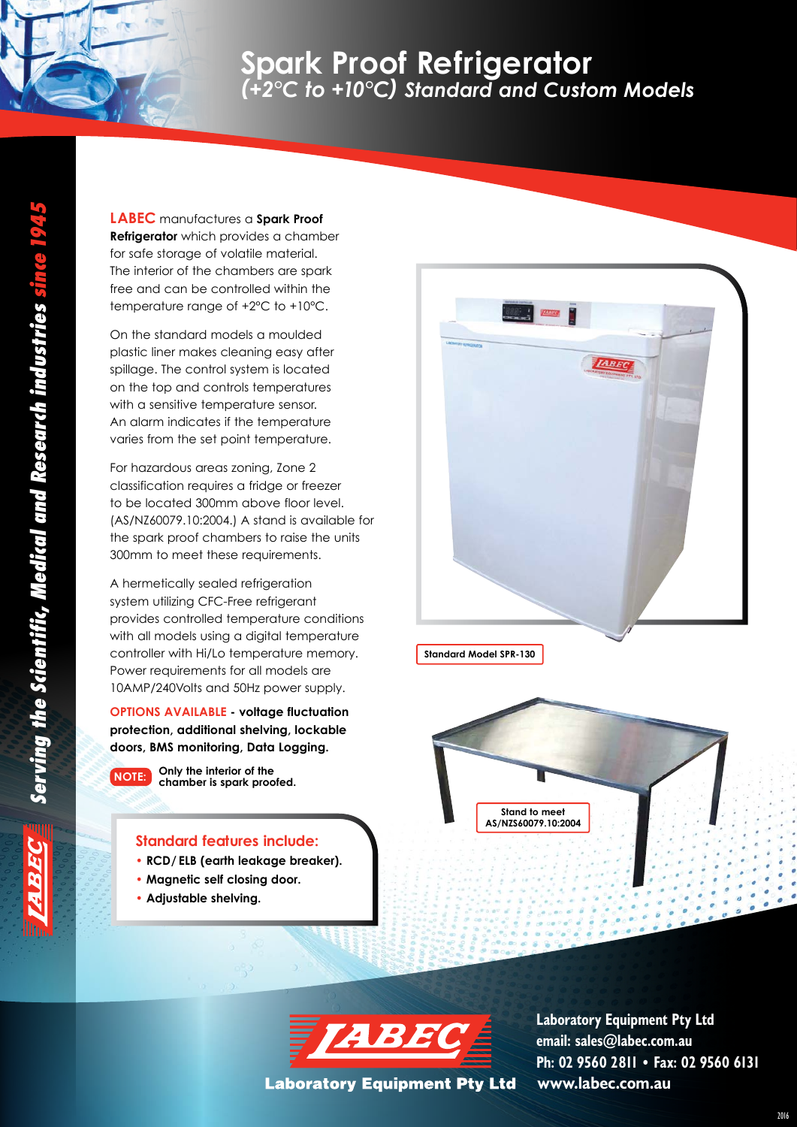# **Spark Proof Refrigerator** *(+2°C to +10°C) Standard and Custom Models*

**LABEC** manufactures a **Spark Proof Refrigerator** which provides a chamber for safe storage of volatile material. The interior of the chambers are spark free and can be controlled within the temperature range of +2°C to +10°C.

On the standard models a moulded plastic liner makes cleaning easy after spillage. The control system is located on the top and controls temperatures with a sensitive temperature sensor. An alarm indicates if the temperature varies from the set point temperature.

For hazardous areas zoning, Zone 2 classification requires a fridge or freezer to be located 300mm above floor level. (AS/NZ60079.10:2004.) A stand is available for the spark proof chambers to raise the units 300mm to meet these requirements.

A hermetically sealed refrigeration system utilizing CFC-Free refrigerant provides controlled temperature conditions with all models using a digital temperature controller with Hi/Lo temperature memory. Power requirements for all models are 10AMP/240Volts and 50Hz power supply.

**OPTIONS AVAILABLE - voltage fluctuation protection, additional shelving, lockable doors, BMS monitoring, Data Logging.**



#### **Standard features include:**

- **RCD/ ELB (earth leakage breaker).**
- **Magnetic self closing door.**
- **Adjustable shelving.**









**Laboratory Equipment Pty Ltd** 

**www.labec.com.au Laboratory Equipment Pty Ltd email: sales@labec.com.au Ph: 02 9560 2811 • Fax: 02 9560 6131**

2016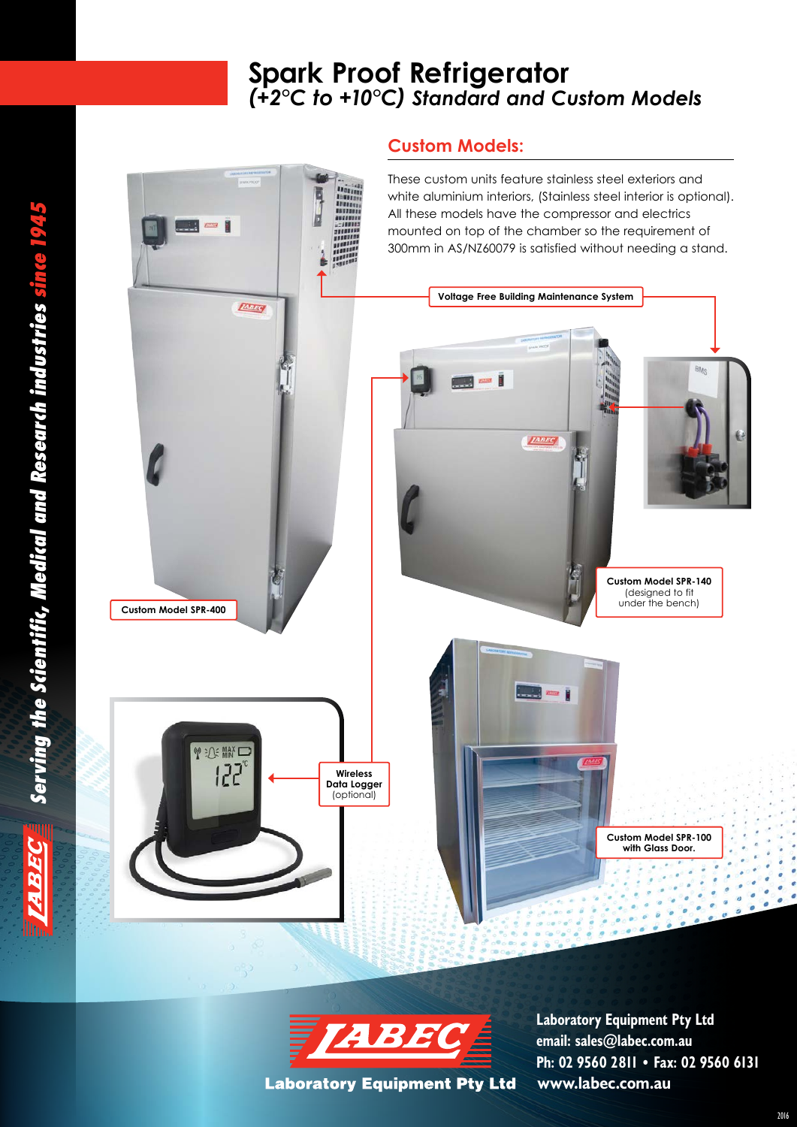# **Spark Proof Refrigerator** *(+2°C to +10°C) Standard and Custom Models* **Spark Proof Refrigerator** *(+2°C to +10°C) Standard and Custom Models*

#### **Custom Models:**

m







**www.labec.com.au Laboratory Equipment Pty Ltd email: sales@labec.com.au Ph: 02 9560 2811 • Fax: 02 9560 6131**

**ABE**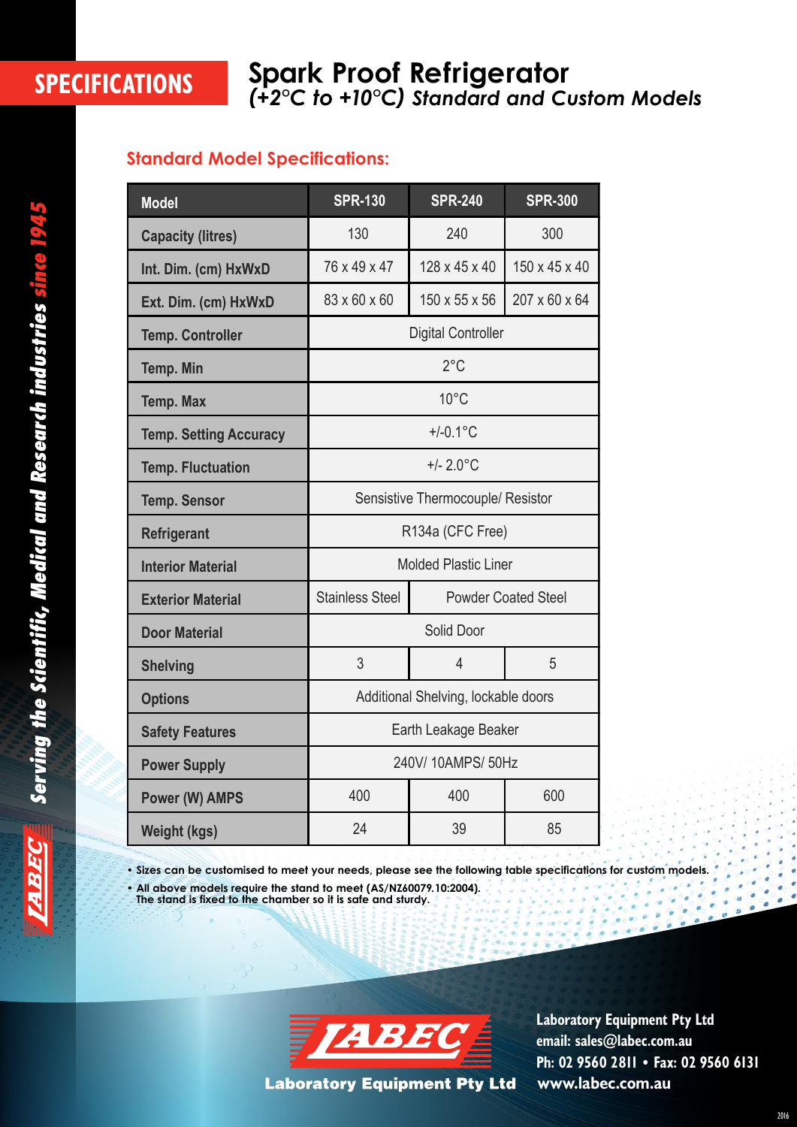### **SPECIFICATIONS Spark Proof Refrigerator** *(+2°C to +10°C) Standard and Custom Models*

#### **Standard Model Specifications:**

| <b>Model</b>                  | <b>SPR-130</b><br><b>SPR-240</b>                     |                | <b>SPR-300</b> |  |  |  |
|-------------------------------|------------------------------------------------------|----------------|----------------|--|--|--|
| <b>Capacity (litres)</b>      | 130                                                  | 240            | 300            |  |  |  |
| Int. Dim. (cm) HxWxD          | 76 x 49 x 47                                         | 128 x 45 x 40  | 150 x 45 x 40  |  |  |  |
| Ext. Dim. (cm) HxWxD          | 83 x 60 x 60                                         | 150 x 55 x 56  | 207 x 60 x 64  |  |  |  |
| <b>Temp. Controller</b>       | <b>Digital Controller</b>                            |                |                |  |  |  |
| <b>Temp. Min</b>              | $2^{\circ}$ C                                        |                |                |  |  |  |
| <b>Temp. Max</b>              | $10^{\circ}$ C                                       |                |                |  |  |  |
| <b>Temp. Setting Accuracy</b> | $+/-0.1$ °C                                          |                |                |  |  |  |
| <b>Temp. Fluctuation</b>      | $+/- 2.0$ °C                                         |                |                |  |  |  |
| <b>Temp. Sensor</b>           | Sensistive Thermocouple/ Resistor                    |                |                |  |  |  |
| <b>Refrigerant</b>            | R134a (CFC Free)                                     |                |                |  |  |  |
| <b>Interior Material</b>      | <b>Molded Plastic Liner</b>                          |                |                |  |  |  |
| <b>Exterior Material</b>      | <b>Stainless Steel</b><br><b>Powder Coated Steel</b> |                |                |  |  |  |
| <b>Door Material</b>          | Solid Door                                           |                |                |  |  |  |
| <b>Shelving</b>               | 3                                                    | $\overline{4}$ | 5              |  |  |  |
| <b>Options</b>                | Additional Shelving, lockable doors                  |                |                |  |  |  |
| <b>Safety Features</b>        | Earth Leakage Beaker                                 |                |                |  |  |  |
| <b>Power Supply</b>           | 240V/ 10AMPS/ 50Hz                                   |                |                |  |  |  |
| <b>Power (W) AMPS</b>         | 400                                                  | 400            | 600            |  |  |  |
| <b>Weight (kgs)</b>           | 24                                                   | 39             | 85             |  |  |  |

**• Sizes can be customised to meet your needs, please see the following table specifications for custom models.**

**• All above models require the stand to meet (AS/NZ60079. 10:2004). The stand is fixed to the chamber so it is safe and sturdy.**



**Laboratory Equipment Pty Ltd** 

**www.labec.com.au Laboratory Equipment Pty Ltd email: sales@labec.com.au Ph: 02 9560 2811 • Fax: 02 9560 6131**

ESE